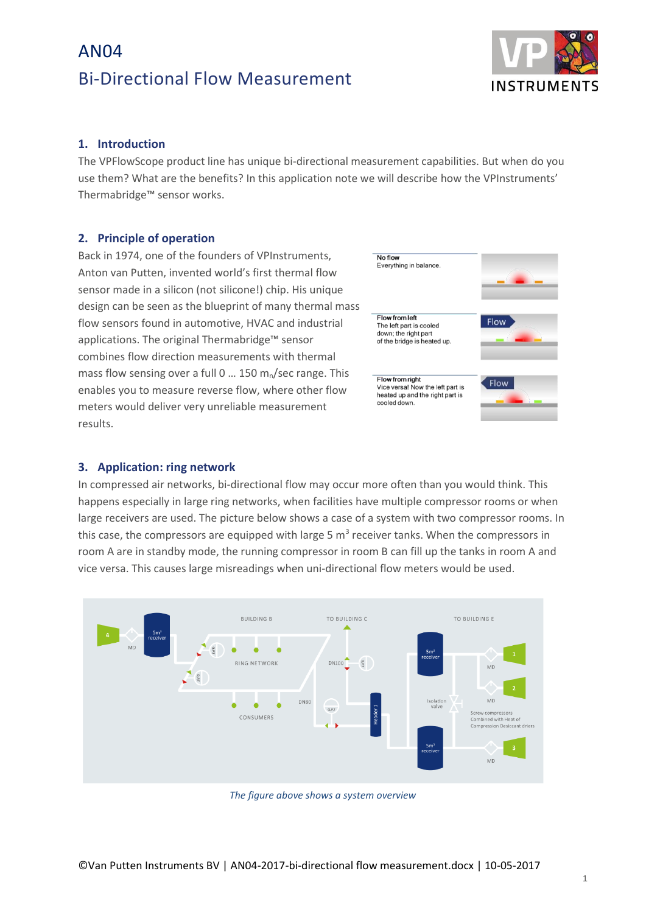# AN04 Bi-Directional Flow Measurement



### **1. Introduction**

The VPFlowScope product line has unique bi-directional measurement capabilities. But when do you use them? What are the benefits? In this application note we will describe how the VPInstruments' Thermabridge™ sensor works.

### **2. Principle of operation**

Back in 1974, one of the founders of VPInstruments, Anton van Putten, invented world's first thermal flow sensor made in a silicon (not silicone!) chip. His unique design can be seen as the blueprint of many thermal mass flow sensors found in automotive, HVAC and industrial applications. The original Thermabridge™ sensor combines flow direction measurements with thermal mass flow sensing over a full 0  $\dots$  150 m<sub>n</sub>/sec range. This enables you to measure reverse flow, where other flow meters would deliver very unreliable measurement results.



#### **3. Application: ring network**

In compressed air networks, bi-directional flow may occur more often than you would think. This happens especially in large ring networks, when facilities have multiple compressor rooms or when large receivers are used. The picture below shows a case of a system with two compressor rooms. In this case, the compressors are equipped with large 5  $m<sup>3</sup>$  receiver tanks. When the compressors in room A are in standby mode, the running compressor in room B can fill up the tanks in room A and vice versa. This causes large misreadings when uni-directional flow meters would be used.



*The figure above shows a system overview*